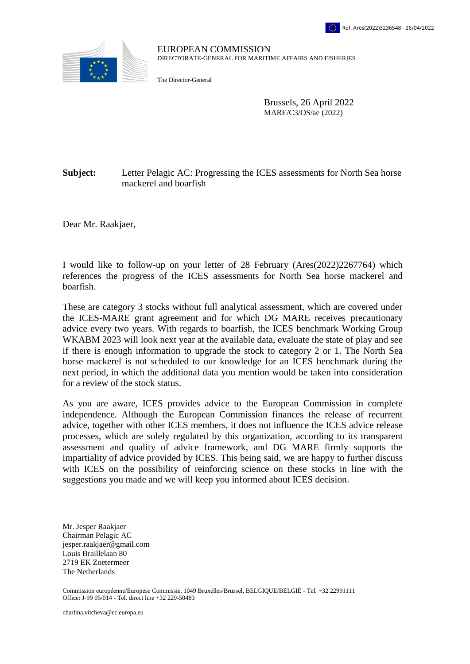

EUROPEAN COMMISSION DIRECTORATE-GENERAL FOR MARITIME AFFAIRS AND FISHERIES

The Director-General

Brussels, 26 April 2022 MARE/C3/OS/ae (2022)

## **Subject:** Letter Pelagic AC: Progressing the ICES assessments for North Sea horse mackerel and boarfish

Dear Mr. Raakjaer,

I would like to follow-up on your letter of 28 February [\(Ares\(2022\)2267764\)](https://webgate.ec.testa.eu/Ares/document/show.do?documentId=080166e5ea3f389b×tamp=1649411445922) which references the progress of the ICES assessments for North Sea horse mackerel and boarfish.

These are category 3 stocks without full analytical assessment, which are covered under the ICES-MARE grant agreement and for which DG MARE receives precautionary advice every two years. With regards to boarfish, the ICES benchmark Working Group WKABM 2023 will look next year at the available data, evaluate the state of play and see if there is enough information to upgrade the stock to category 2 or 1. The North Sea horse mackerel is not scheduled to our knowledge for an ICES benchmark during the next period, in which the additional data you mention would be taken into consideration for a review of the stock status.

As you are aware, ICES provides advice to the European Commission in complete independence. Although the European Commission finances the release of recurrent advice, together with other ICES members, it does not influence the ICES advice release processes, which are solely regulated by this organization, according to its transparent assessment and quality of advice framework, and DG MARE firmly supports the impartiality of advice provided by ICES. This being said, we are happy to further discuss with ICES on the possibility of reinforcing science on these stocks in line with the suggestions you made and we will keep you informed about ICES decision.

Mr. Jesper Raakjaer Chairman Pelagic AC jesper.raakjaer@gmail.com Louis Braillelaan 80 2719 EK Zoetermeer The Netherlands

Commission européenne/Europese Commissie, 1049 Bruxelles/Brussel, BELGIQUE/BELGIË - Tel. +32 22991111 Office: J-99 05/014 ‐ Tel. direct line +32 229-50483